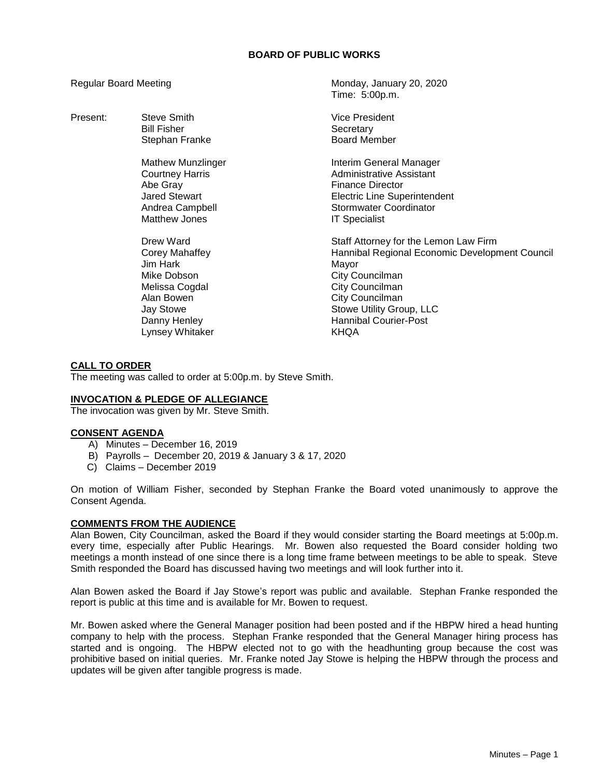## **BOARD OF PUBLIC WORKS**

Regular Board Meeting Monday, January 20, 2020 Time: 5:00p.m. Present: Steve Smith Steve Smith Steve And Steve Smith Steve And Steve And Steve And Steve And Nice President Bill Fisher North Controller Secretary<br>Stephan Franke Stephan Secretary Solard Member Stephan Franke Mathew Munzlinger **Interim General Manager** Courtney Harris **Administrative Assistant** Abe Gray **Finance Director** Jared Stewart Electric Line Superintendent Andrea Campbell **Stormwater Coordinator** Stormwater Coordinator Matthew Jones **IT Specialist** Drew Ward **Staff Attorney for the Lemon Law Firm** Corey Mahaffey Hannibal Regional Economic Development Council Jim Hark **Mayor** Mayor Mike Dobson **City Councilman** Melissa Cogdal **City Councilman** Alan Bowen **City Councilman** Jay Stowe **Stowe Stowe Utility Group, LLC** Danny Henley **Hannibal Courier-Post** Lynsey Whitaker KHQA

## **CALL TO ORDER**

The meeting was called to order at 5:00p.m. by Steve Smith.

#### **INVOCATION & PLEDGE OF ALLEGIANCE**

The invocation was given by Mr. Steve Smith.

#### **CONSENT AGENDA**

- A) Minutes December 16, 2019
- B) Payrolls December 20, 2019 & January 3 & 17, 2020
- C) Claims December 2019

On motion of William Fisher, seconded by Stephan Franke the Board voted unanimously to approve the Consent Agenda.

#### **COMMENTS FROM THE AUDIENCE**

Alan Bowen, City Councilman, asked the Board if they would consider starting the Board meetings at 5:00p.m. every time, especially after Public Hearings. Mr. Bowen also requested the Board consider holding two meetings a month instead of one since there is a long time frame between meetings to be able to speak. Steve Smith responded the Board has discussed having two meetings and will look further into it.

Alan Bowen asked the Board if Jay Stowe's report was public and available. Stephan Franke responded the report is public at this time and is available for Mr. Bowen to request.

Mr. Bowen asked where the General Manager position had been posted and if the HBPW hired a head hunting company to help with the process. Stephan Franke responded that the General Manager hiring process has started and is ongoing. The HBPW elected not to go with the headhunting group because the cost was prohibitive based on initial queries. Mr. Franke noted Jay Stowe is helping the HBPW through the process and updates will be given after tangible progress is made.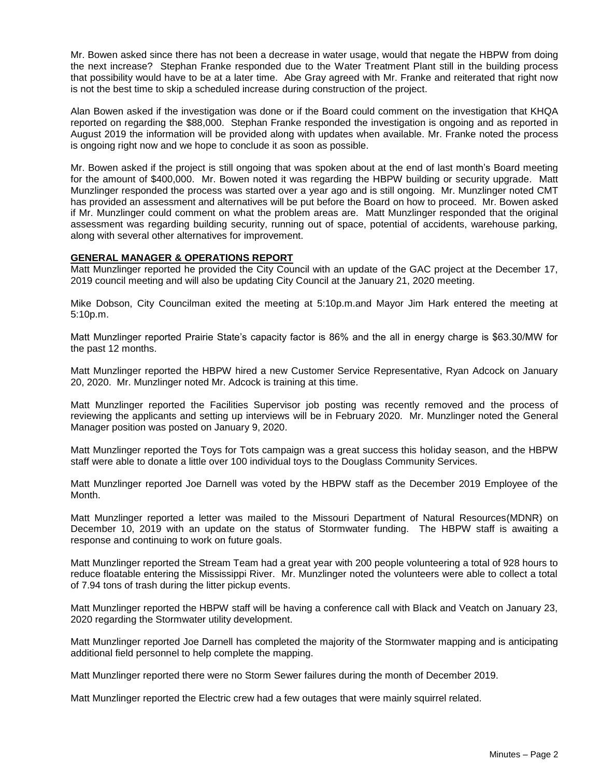Mr. Bowen asked since there has not been a decrease in water usage, would that negate the HBPW from doing the next increase? Stephan Franke responded due to the Water Treatment Plant still in the building process that possibility would have to be at a later time. Abe Gray agreed with Mr. Franke and reiterated that right now is not the best time to skip a scheduled increase during construction of the project.

Alan Bowen asked if the investigation was done or if the Board could comment on the investigation that KHQA reported on regarding the \$88,000. Stephan Franke responded the investigation is ongoing and as reported in August 2019 the information will be provided along with updates when available. Mr. Franke noted the process is ongoing right now and we hope to conclude it as soon as possible.

Mr. Bowen asked if the project is still ongoing that was spoken about at the end of last month's Board meeting for the amount of \$400,000. Mr. Bowen noted it was regarding the HBPW building or security upgrade. Matt Munzlinger responded the process was started over a year ago and is still ongoing. Mr. Munzlinger noted CMT has provided an assessment and alternatives will be put before the Board on how to proceed. Mr. Bowen asked if Mr. Munzlinger could comment on what the problem areas are. Matt Munzlinger responded that the original assessment was regarding building security, running out of space, potential of accidents, warehouse parking, along with several other alternatives for improvement.

#### **GENERAL MANAGER & OPERATIONS REPORT**

Matt Munzlinger reported he provided the City Council with an update of the GAC project at the December 17, 2019 council meeting and will also be updating City Council at the January 21, 2020 meeting.

Mike Dobson, City Councilman exited the meeting at 5:10p.m.and Mayor Jim Hark entered the meeting at 5:10p.m.

Matt Munzlinger reported Prairie State's capacity factor is 86% and the all in energy charge is \$63.30/MW for the past 12 months.

Matt Munzlinger reported the HBPW hired a new Customer Service Representative, Ryan Adcock on January 20, 2020. Mr. Munzlinger noted Mr. Adcock is training at this time.

Matt Munzlinger reported the Facilities Supervisor job posting was recently removed and the process of reviewing the applicants and setting up interviews will be in February 2020. Mr. Munzlinger noted the General Manager position was posted on January 9, 2020.

Matt Munzlinger reported the Toys for Tots campaign was a great success this holiday season, and the HBPW staff were able to donate a little over 100 individual toys to the Douglass Community Services.

Matt Munzlinger reported Joe Darnell was voted by the HBPW staff as the December 2019 Employee of the Month.

Matt Munzlinger reported a letter was mailed to the Missouri Department of Natural Resources(MDNR) on December 10, 2019 with an update on the status of Stormwater funding. The HBPW staff is awaiting a response and continuing to work on future goals.

Matt Munzlinger reported the Stream Team had a great year with 200 people volunteering a total of 928 hours to reduce floatable entering the Mississippi River. Mr. Munzlinger noted the volunteers were able to collect a total of 7.94 tons of trash during the litter pickup events.

Matt Munzlinger reported the HBPW staff will be having a conference call with Black and Veatch on January 23, 2020 regarding the Stormwater utility development.

Matt Munzlinger reported Joe Darnell has completed the majority of the Stormwater mapping and is anticipating additional field personnel to help complete the mapping.

Matt Munzlinger reported there were no Storm Sewer failures during the month of December 2019.

Matt Munzlinger reported the Electric crew had a few outages that were mainly squirrel related.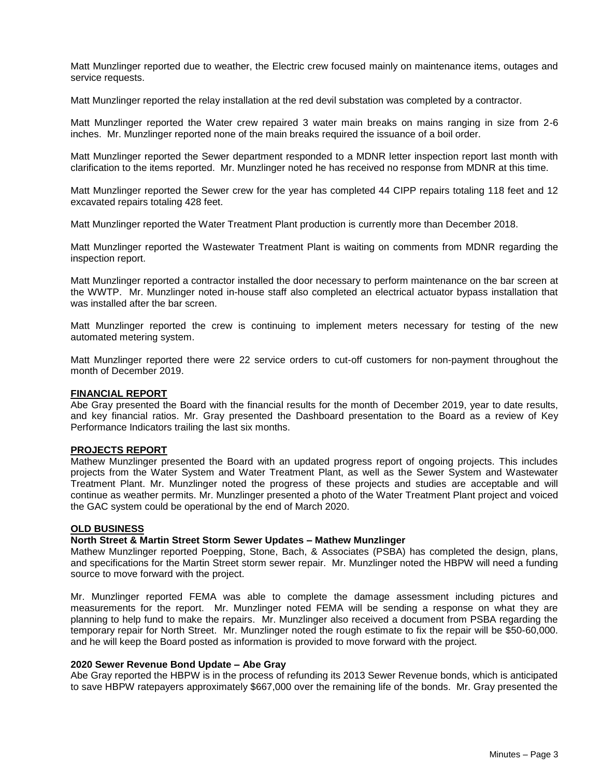Matt Munzlinger reported due to weather, the Electric crew focused mainly on maintenance items, outages and service requests.

Matt Munzlinger reported the relay installation at the red devil substation was completed by a contractor.

Matt Munzlinger reported the Water crew repaired 3 water main breaks on mains ranging in size from 2-6 inches. Mr. Munzlinger reported none of the main breaks required the issuance of a boil order.

Matt Munzlinger reported the Sewer department responded to a MDNR letter inspection report last month with clarification to the items reported. Mr. Munzlinger noted he has received no response from MDNR at this time.

Matt Munzlinger reported the Sewer crew for the year has completed 44 CIPP repairs totaling 118 feet and 12 excavated repairs totaling 428 feet.

Matt Munzlinger reported the Water Treatment Plant production is currently more than December 2018.

Matt Munzlinger reported the Wastewater Treatment Plant is waiting on comments from MDNR regarding the inspection report.

Matt Munzlinger reported a contractor installed the door necessary to perform maintenance on the bar screen at the WWTP. Mr. Munzlinger noted in-house staff also completed an electrical actuator bypass installation that was installed after the bar screen.

Matt Munzlinger reported the crew is continuing to implement meters necessary for testing of the new automated metering system.

Matt Munzlinger reported there were 22 service orders to cut-off customers for non-payment throughout the month of December 2019.

#### **FINANCIAL REPORT**

Abe Gray presented the Board with the financial results for the month of December 2019, year to date results, and key financial ratios. Mr. Gray presented the Dashboard presentation to the Board as a review of Key Performance Indicators trailing the last six months.

#### **PROJECTS REPORT**

Mathew Munzlinger presented the Board with an updated progress report of ongoing projects. This includes projects from the Water System and Water Treatment Plant, as well as the Sewer System and Wastewater Treatment Plant. Mr. Munzlinger noted the progress of these projects and studies are acceptable and will continue as weather permits. Mr. Munzlinger presented a photo of the Water Treatment Plant project and voiced the GAC system could be operational by the end of March 2020.

# **OLD BUSINESS**

#### **North Street & Martin Street Storm Sewer Updates – Mathew Munzlinger**

Mathew Munzlinger reported Poepping, Stone, Bach, & Associates (PSBA) has completed the design, plans, and specifications for the Martin Street storm sewer repair. Mr. Munzlinger noted the HBPW will need a funding source to move forward with the project.

Mr. Munzlinger reported FEMA was able to complete the damage assessment including pictures and measurements for the report. Mr. Munzlinger noted FEMA will be sending a response on what they are planning to help fund to make the repairs. Mr. Munzlinger also received a document from PSBA regarding the temporary repair for North Street. Mr. Munzlinger noted the rough estimate to fix the repair will be \$50-60,000. and he will keep the Board posted as information is provided to move forward with the project.

#### **2020 Sewer Revenue Bond Update – Abe Gray**

Abe Gray reported the HBPW is in the process of refunding its 2013 Sewer Revenue bonds, which is anticipated to save HBPW ratepayers approximately \$667,000 over the remaining life of the bonds. Mr. Gray presented the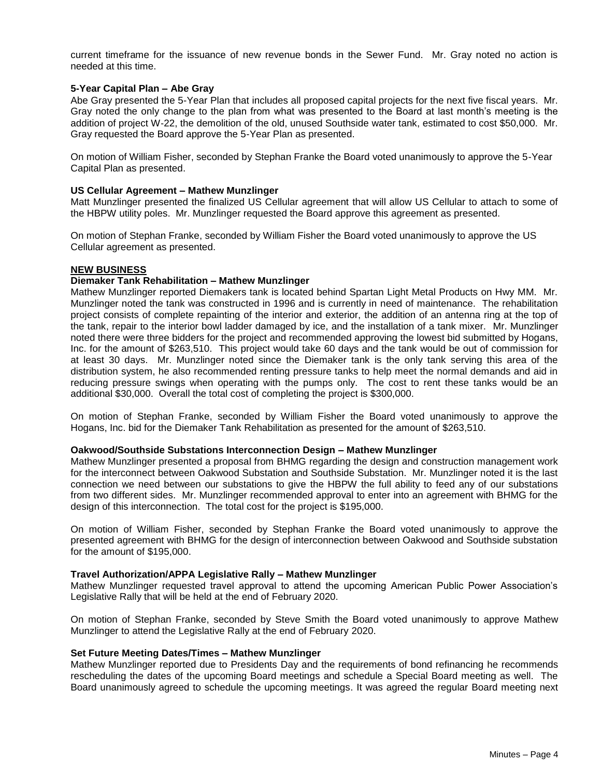current timeframe for the issuance of new revenue bonds in the Sewer Fund. Mr. Gray noted no action is needed at this time.

#### **5-Year Capital Plan – Abe Gray**

Abe Gray presented the 5-Year Plan that includes all proposed capital projects for the next five fiscal years. Mr. Gray noted the only change to the plan from what was presented to the Board at last month's meeting is the addition of project W‐22, the demolition of the old, unused Southside water tank, estimated to cost \$50,000. Mr. Gray requested the Board approve the 5-Year Plan as presented.

On motion of William Fisher, seconded by Stephan Franke the Board voted unanimously to approve the 5-Year Capital Plan as presented.

#### **US Cellular Agreement – Mathew Munzlinger**

Matt Munzlinger presented the finalized US Cellular agreement that will allow US Cellular to attach to some of the HBPW utility poles. Mr. Munzlinger requested the Board approve this agreement as presented.

On motion of Stephan Franke, seconded by William Fisher the Board voted unanimously to approve the US Cellular agreement as presented.

#### **NEW BUSINESS**

#### **Diemaker Tank Rehabilitation – Mathew Munzlinger**

Mathew Munzlinger reported Diemakers tank is located behind Spartan Light Metal Products on Hwy MM. Mr. Munzlinger noted the tank was constructed in 1996 and is currently in need of maintenance. The rehabilitation project consists of complete repainting of the interior and exterior, the addition of an antenna ring at the top of the tank, repair to the interior bowl ladder damaged by ice, and the installation of a tank mixer. Mr. Munzlinger noted there were three bidders for the project and recommended approving the lowest bid submitted by Hogans, Inc. for the amount of \$263,510. This project would take 60 days and the tank would be out of commission for at least 30 days. Mr. Munzlinger noted since the Diemaker tank is the only tank serving this area of the distribution system, he also recommended renting pressure tanks to help meet the normal demands and aid in reducing pressure swings when operating with the pumps only. The cost to rent these tanks would be an additional \$30,000. Overall the total cost of completing the project is \$300,000.

On motion of Stephan Franke, seconded by William Fisher the Board voted unanimously to approve the Hogans, Inc. bid for the Diemaker Tank Rehabilitation as presented for the amount of \$263,510.

#### **Oakwood/Southside Substations Interconnection Design – Mathew Munzlinger**

Mathew Munzlinger presented a proposal from BHMG regarding the design and construction management work for the interconnect between Oakwood Substation and Southside Substation. Mr. Munzlinger noted it is the last connection we need between our substations to give the HBPW the full ability to feed any of our substations from two different sides. Mr. Munzlinger recommended approval to enter into an agreement with BHMG for the design of this interconnection. The total cost for the project is \$195,000.

On motion of William Fisher, seconded by Stephan Franke the Board voted unanimously to approve the presented agreement with BHMG for the design of interconnection between Oakwood and Southside substation for the amount of \$195,000.

#### **Travel Authorization/APPA Legislative Rally – Mathew Munzlinger**

Mathew Munzlinger requested travel approval to attend the upcoming American Public Power Association's Legislative Rally that will be held at the end of February 2020.

On motion of Stephan Franke, seconded by Steve Smith the Board voted unanimously to approve Mathew Munzlinger to attend the Legislative Rally at the end of February 2020.

#### **Set Future Meeting Dates/Times – Mathew Munzlinger**

Mathew Munzlinger reported due to Presidents Day and the requirements of bond refinancing he recommends rescheduling the dates of the upcoming Board meetings and schedule a Special Board meeting as well. The Board unanimously agreed to schedule the upcoming meetings. It was agreed the regular Board meeting next